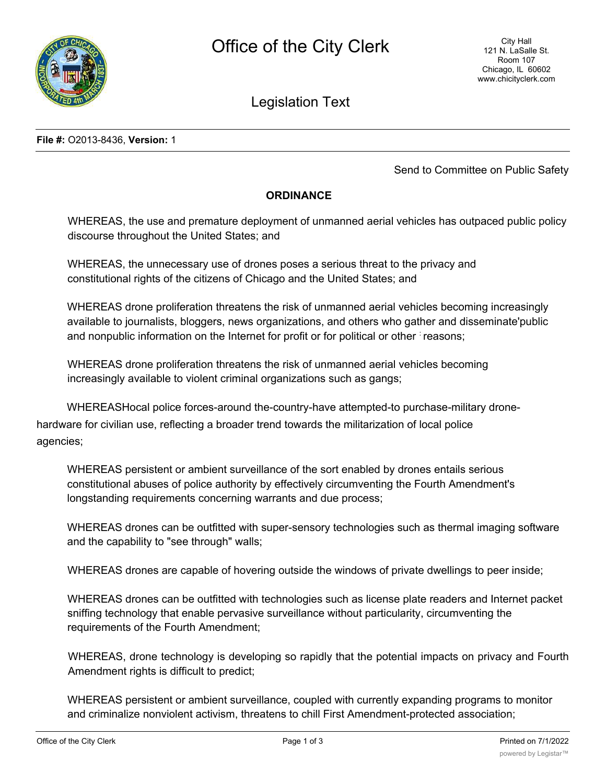

## Legislation Text

**File #:** O2013-8436, **Version:** 1

Send to Committee on Public Safety

## **ORDINANCE**

WHEREAS, the use and premature deployment of unmanned aerial vehicles has outpaced public policy discourse throughout the United States; and

WHEREAS, the unnecessary use of drones poses a serious threat to the privacy and constitutional rights of the citizens of Chicago and the United States; and

WHEREAS drone proliferation threatens the risk of unmanned aerial vehicles becoming increasingly available to journalists, bloggers, news organizations, and others who gather and disseminate'public and nonpublic information on the Internet for profit or for political or other : reasons;

WHEREAS drone proliferation threatens the risk of unmanned aerial vehicles becoming increasingly available to violent criminal organizations such as gangs;

WHEREASHocal police forces-around the-country-have attempted-to purchase-military dronehardware for civilian use, reflecting a broader trend towards the militarization of local police agencies;

WHEREAS persistent or ambient surveillance of the sort enabled by drones entails serious constitutional abuses of police authority by effectively circumventing the Fourth Amendment's longstanding requirements concerning warrants and due process;

WHEREAS drones can be outfitted with super-sensory technologies such as thermal imaging software and the capability to "see through" walls;

WHEREAS drones are capable of hovering outside the windows of private dwellings to peer inside;

WHEREAS drones can be outfitted with technologies such as license plate readers and Internet packet sniffing technology that enable pervasive surveillance without particularity, circumventing the requirements of the Fourth Amendment;

WHEREAS, drone technology is developing so rapidly that the potential impacts on privacy and Fourth Amendment rights is difficult to predict;

WHEREAS persistent or ambient surveillance, coupled with currently expanding programs to monitor and criminalize nonviolent activism, threatens to chill First Amendment-protected association;